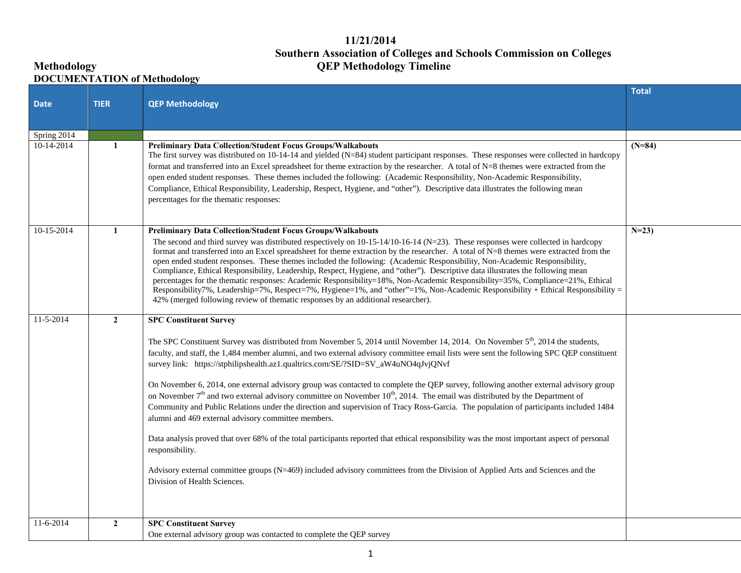## **11/21/2014 Southern Association of Colleges and Schools Commission on Colleges Methodology QEP Methodology Timeline**

## **DOCUMENTATION of Methodology**

| <b>Date</b>               | <b>TIER</b>    | <b>QEP Methodology</b>                                                                                                                                                                                                                                                                                                                                                                                                                                                                                                                                                                                                                                                                                                                                                                                                                                                                                                                                                                                                                                                                                                                                                                                                      | <b>Total</b> |
|---------------------------|----------------|-----------------------------------------------------------------------------------------------------------------------------------------------------------------------------------------------------------------------------------------------------------------------------------------------------------------------------------------------------------------------------------------------------------------------------------------------------------------------------------------------------------------------------------------------------------------------------------------------------------------------------------------------------------------------------------------------------------------------------------------------------------------------------------------------------------------------------------------------------------------------------------------------------------------------------------------------------------------------------------------------------------------------------------------------------------------------------------------------------------------------------------------------------------------------------------------------------------------------------|--------------|
| Spring 2014<br>10-14-2014 | $\mathbf{1}$   | <b>Preliminary Data Collection/Student Focus Groups/Walkabouts</b><br>The first survey was distributed on 10-14-14 and yielded (N=84) student participant responses. These responses were collected in hardcopy<br>format and transferred into an Excel spreadsheet for theme extraction by the researcher. A total of N=8 themes were extracted from the<br>open ended student responses. These themes included the following: (Academic Responsibility, Non-Academic Responsibility,<br>Compliance, Ethical Responsibility, Leadership, Respect, Hygiene, and "other"). Descriptive data illustrates the following mean<br>percentages for the thematic responses:                                                                                                                                                                                                                                                                                                                                                                                                                                                                                                                                                        | $(N=84)$     |
| $10-15-2014$              | $\mathbf{1}$   | <b>Preliminary Data Collection/Student Focus Groups/Walkabouts</b><br>The second and third survey was distributed respectively on $10-15-14/10-16-14$ (N=23). These responses were collected in hardcopy<br>format and transferred into an Excel spreadsheet for theme extraction by the researcher. A total of N=8 themes were extracted from the<br>open ended student responses. These themes included the following: (Academic Responsibility, Non-Academic Responsibility,<br>Compliance, Ethical Responsibility, Leadership, Respect, Hygiene, and "other"). Descriptive data illustrates the following mean<br>percentages for the thematic responses: Academic Responsibility=18%, Non-Academic Responsibility=35%, Compliance=21%, Ethical<br>Responsibility7%, Leadership=7%, Respect=7%, Hygiene=1%, and "other"=1%, Non-Academic Responsibility + Ethical Responsibility =<br>42% (merged following review of thematic responses by an additional researcher).                                                                                                                                                                                                                                                  | $N=23$       |
| $11-5-2014$               | $\overline{2}$ | <b>SPC Constituent Survey</b><br>The SPC Constituent Survey was distributed from November 5, 2014 until November 14, 2014. On November $5th$ , 2014 the students,<br>faculty, and staff, the 1,484 member alumni, and two external advisory committee email lists were sent the following SPC QEP constituent<br>survey link: https://stphilipshealth.az1.qualtrics.com/SE/?SID=SV_aW4uNO4qJvjQNvf<br>On November 6, 2014, one external advisory group was contacted to complete the QEP survey, following another external advisory group<br>on November $7th$ and two external advisory committee on November 10 <sup>th</sup> , 2014. The email was distributed by the Department of<br>Community and Public Relations under the direction and supervision of Tracy Ross-Garcia. The population of participants included 1484<br>alumni and 469 external advisory committee members.<br>Data analysis proved that over 68% of the total participants reported that ethical responsibility was the most important aspect of personal<br>responsibility.<br>Advisory external committee groups (N=469) included advisory committees from the Division of Applied Arts and Sciences and the<br>Division of Health Sciences. |              |
| $11-6-2014$               | $\overline{2}$ | <b>SPC Constituent Survey</b><br>One external advisory group was contacted to complete the QEP survey                                                                                                                                                                                                                                                                                                                                                                                                                                                                                                                                                                                                                                                                                                                                                                                                                                                                                                                                                                                                                                                                                                                       |              |